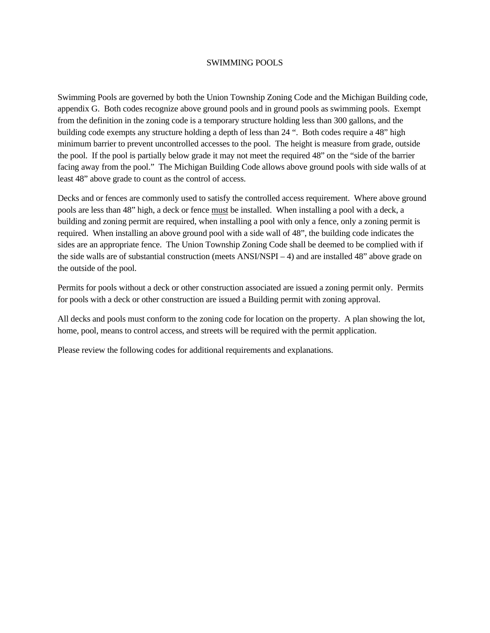### SWIMMING POOLS

Swimming Pools are governed by both the Union Township Zoning Code and the Michigan Building code, appendix G. Both codes recognize above ground pools and in ground pools as swimming pools. Exempt from the definition in the zoning code is a temporary structure holding less than 300 gallons, and the building code exempts any structure holding a depth of less than 24 ". Both codes require a 48" high minimum barrier to prevent uncontrolled accesses to the pool. The height is measure from grade, outside the pool. If the pool is partially below grade it may not meet the required 48" on the "side of the barrier facing away from the pool." The Michigan Building Code allows above ground pools with side walls of at least 48" above grade to count as the control of access.

Decks and or fences are commonly used to satisfy the controlled access requirement. Where above ground pools are less than 48" high, a deck or fence must be installed. When installing a pool with a deck, a building and zoning permit are required, when installing a pool with only a fence, only a zoning permit is required. When installing an above ground pool with a side wall of 48", the building code indicates the sides are an appropriate fence. The Union Township Zoning Code shall be deemed to be complied with if the side walls are of substantial construction (meets ANSI/NSPI – 4) and are installed 48" above grade on the outside of the pool.

Permits for pools without a deck or other construction associated are issued a zoning permit only. Permits for pools with a deck or other construction are issued a Building permit with zoning approval.

All decks and pools must conform to the zoning code for location on the property. A plan showing the lot, home, pool, means to control access, and streets will be required with the permit application.

Please review the following codes for additional requirements and explanations.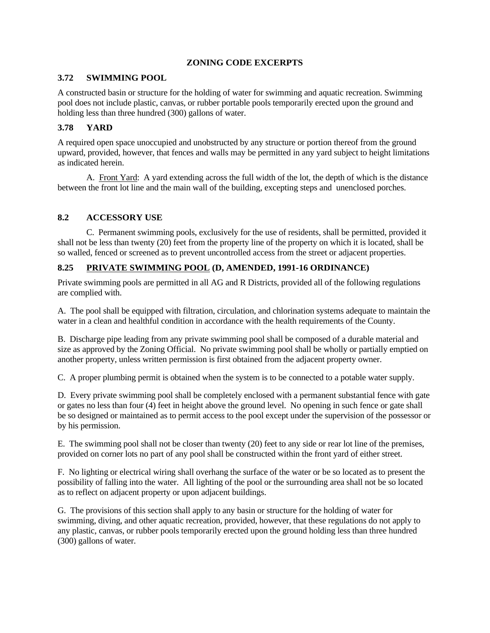## **ZONING CODE EXCERPTS**

## **3.72 SWIMMING POOL**

A constructed basin or structure for the holding of water for swimming and aquatic recreation. Swimming pool does not include plastic, canvas, or rubber portable pools temporarily erected upon the ground and holding less than three hundred (300) gallons of water.

## **3.78 YARD**

A required open space unoccupied and unobstructed by any structure or portion thereof from the ground upward, provided, however, that fences and walls may be permitted in any yard subject to height limitations as indicated herein.

A. Front Yard: A yard extending across the full width of the lot, the depth of which is the distance between the front lot line and the main wall of the building, excepting steps and unenclosed porches.

## **8.2 ACCESSORY USE**

 C. Permanent swimming pools, exclusively for the use of residents, shall be permitted, provided it shall not be less than twenty (20) feet from the property line of the property on which it is located, shall be so walled, fenced or screened as to prevent uncontrolled access from the street or adjacent properties.

# **8.25 PRIVATE SWIMMING POOL (D, AMENDED, 1991-16 ORDINANCE)**

Private swimming pools are permitted in all AG and R Districts, provided all of the following regulations are complied with.

A. The pool shall be equipped with filtration, circulation, and chlorination systems adequate to maintain the water in a clean and healthful condition in accordance with the health requirements of the County.

B. Discharge pipe leading from any private swimming pool shall be composed of a durable material and size as approved by the Zoning Official. No private swimming pool shall be wholly or partially emptied on another property, unless written permission is first obtained from the adjacent property owner.

C. A proper plumbing permit is obtained when the system is to be connected to a potable water supply.

D. Every private swimming pool shall be completely enclosed with a permanent substantial fence with gate or gates no less than four (4) feet in height above the ground level. No opening in such fence or gate shall be so designed or maintained as to permit access to the pool except under the supervision of the possessor or by his permission.

E. The swimming pool shall not be closer than twenty (20) feet to any side or rear lot line of the premises, provided on corner lots no part of any pool shall be constructed within the front yard of either street.

F. No lighting or electrical wiring shall overhang the surface of the water or be so located as to present the possibility of falling into the water. All lighting of the pool or the surrounding area shall not be so located as to reflect on adjacent property or upon adjacent buildings.

G. The provisions of this section shall apply to any basin or structure for the holding of water for swimming, diving, and other aquatic recreation, provided, however, that these regulations do not apply to any plastic, canvas, or rubber pools temporarily erected upon the ground holding less than three hundred (300) gallons of water.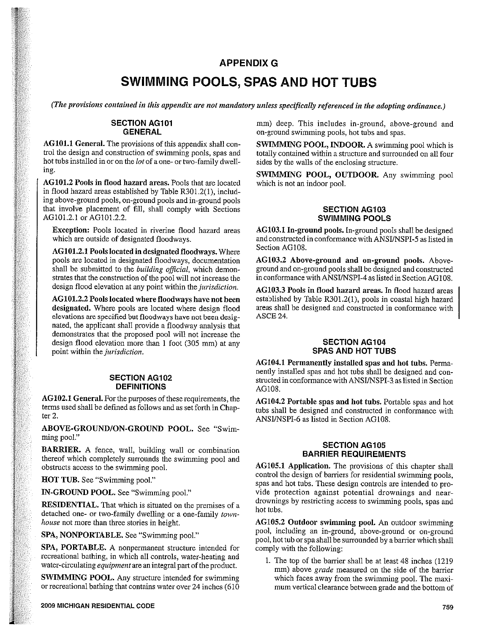## APPENDIX G

# SWIMMING POOLS, SPAS AND HOT TUBS APPENDIX G<br>
I (The provisions contained in this appendix are not mandatory unless specifically referenced in the adopting ordinance.)

### SECTION AG1O1 GENERAL

AG1O1.1 General. The provisions of this appendix shall con trol the design and construction of swimming pools, spas and hot tubs installed in or on the lot of <sup>a</sup> one- or two-family dwell ing.

AG1O1.2 Pools in flood hazard areas. Pools that are located in flood hazard areas established by Table R301.2(1), includ ing above-ground pools, on-ground pools and in-ground pools that involve placement of fill, shall comply with Sections AG101.2.1 or AG101.2.2.

Exception: Pools located in riverine flood hazard areas which are outside of designated floodways.

AG1O1.2.l Pools located in designated floodways. Where pools are located in designated floodways, documentation shall be submitted to the building official, which demonstrates that the construction of the pool will not increase the design flood elevation at any point within the *jurisdiction*.

AG1O1.2.2 Pools located where floodways have not been designated. Where pools are located where design flood elevations are specified but floodways have not been desig nated, the applicant shall provide <sup>a</sup> floodway analysis that demonstrates that the proposed pool will not increase the design flood elevation more than 1 foot (305 mm) at any point within the jurisdiction.

#### SECTION AG1O2 DEFINITIONS

AG102.1 General. For the purposes of these requirements, the terms used shall be defined as follows and as set forth in Chap ter 2.

ABOVE-GROUND/ON-GROUND POOL. See "Swim ming pool."

**BARRIER.** A fence, wall, building wall or combination thereof which completely surrounds the swimming pool and obstructs access to the swimming pool.

HOT TUB. See "Swimming pool."

IN-GROUND POOL. See "Swimming pool."

RESIDENTIAL. That which is situated on the premises of <sup>a</sup> detached one- or two-family dwelling or a one-family townhouse not more than three stories in height.

SPA, NONPORTABLE. See "Swimming pool."

SPA, PORTABLE. A nonpermanent structure intended for recreational bathing, in which all controls, water-heating and water-circulating *equipment* are an integral part of the product.

SWIMMING POOL. Any structure intended for swimming or recreational bathing that contains water over 24 inches (610 mm) deep. This includes in-ground, above-ground and on-ground swimming pools, hot tubs and spas.

SWIMMING POOL, INDOOR. A swimming pool which is totally contained within <sup>a</sup> structure and surrounded on all four sides by the walls of the enclosing structure.

SWIMMING POOL, OUTDOOR. Any swimming pool which is not an indoor pool.

### SECTION AG1O3 SWIMMING POOLS

AG1O3.1 In-ground pools. In~ground pools shall be designed and constructed in conformance with ANSIJNSPI-5 as listed in Section AG1O8.

AG103.2 Above-ground and on-ground pools. Aboveground and on-ground pools shall be designed and constructed in conformance with ANSIJNSPI-4 as listed in Section AG1O8.

AG1O3.3 Pools in flood hazard areas. In flood hazard areas established by Table R301.2(1), pools in coastal high hazard areas shall be designed and constructed in conformance with ASCE 24.

### SECTION AG1O4 SPAS AND HOT TUBS

AG1O4.l Permanently installed spas and hot tubs. Perma nently installed spas and hot tubs shall be designed and con structed in conformance with ANSI/NSPI-3 as listed in Section AG 108.

AG1O4.2 Portable spas and hot tubs. Portable spas and hot tubs shall be designed and constructed in conformance with ANSI/NSPI-6 as listed in Section AG108.

### SECTION AG1O5 BARRIER REQUIREMENTS

AG1O5.1 Application. The provisions of this chapter shall control the design of barriers for residential swimming pools, spas and hot tubs. These design controls are intended to pro vide protection against potential drownings and neardrownings by restricting access to swimming pools, spas and hot tubs.

AG1OS.2 Outdoor swimming pool. An outdoor swimming pool, including an in-ground, above-ground or on-ground pool, hot tub or spa shall be surrounded by <sup>a</sup> barrier which shall comply with the following:

1. The top of the barrier shall be at least 48 inches (1219 mm) above *grade* measured on the side of the barrier which faces away from the swimming pool. The maxi mum vertical clearance between grade and the bottom of